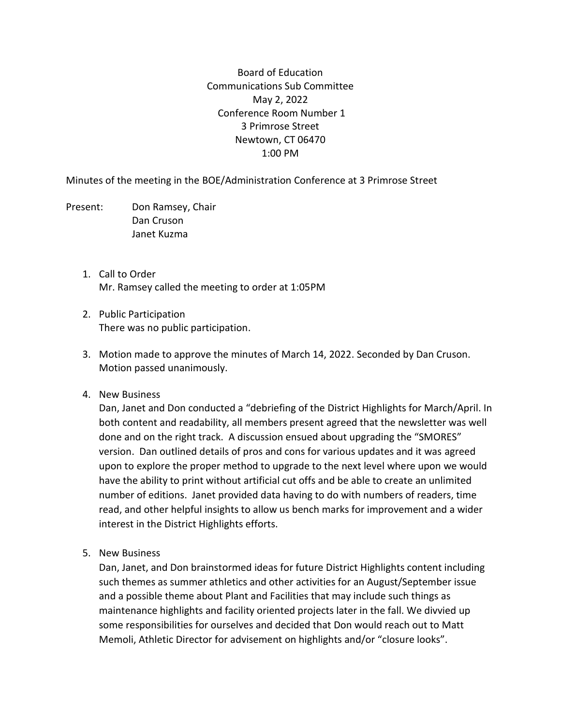Board of Education Communications Sub Committee May 2, 2022 Conference Room Number 1 3 Primrose Street Newtown, CT 06470 1:00 PM

Minutes of the meeting in the BOE/Administration Conference at 3 Primrose Street

Present: Don Ramsey, Chair Dan Cruson Janet Kuzma

- 1. Call to Order Mr. Ramsey called the meeting to order at 1:05PM
- 2. Public Participation There was no public participation.
- 3. Motion made to approve the minutes of March 14, 2022. Seconded by Dan Cruson. Motion passed unanimously.
- 4. New Business

Dan, Janet and Don conducted a "debriefing of the District Highlights for March/April. In both content and readability, all members present agreed that the newsletter was well done and on the right track. A discussion ensued about upgrading the "SMORES" version. Dan outlined details of pros and cons for various updates and it was agreed upon to explore the proper method to upgrade to the next level where upon we would have the ability to print without artificial cut offs and be able to create an unlimited number of editions. Janet provided data having to do with numbers of readers, time read, and other helpful insights to allow us bench marks for improvement and a wider interest in the District Highlights efforts.

5. New Business

Dan, Janet, and Don brainstormed ideas for future District Highlights content including such themes as summer athletics and other activities for an August/September issue and a possible theme about Plant and Facilities that may include such things as maintenance highlights and facility oriented projects later in the fall. We divvied up some responsibilities for ourselves and decided that Don would reach out to Matt Memoli, Athletic Director for advisement on highlights and/or "closure looks".